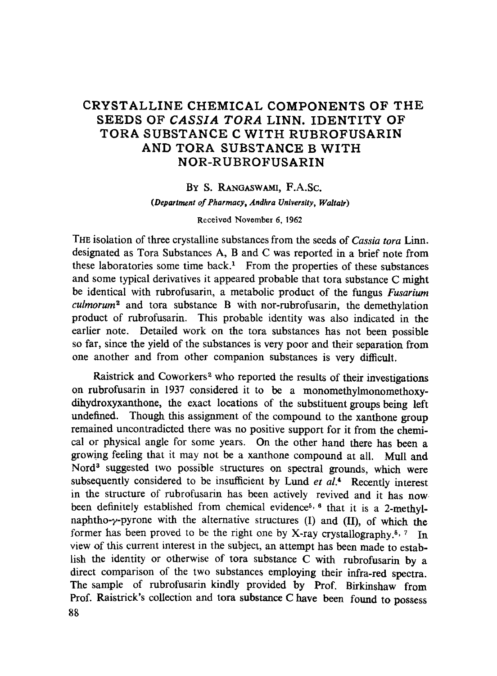# CRYSTALLINE CHEMICAL COMPONENTS OF THE SEEDS OF *CASSIA TORA* LINN. IDENTITY OF TORA SUBSTANCE C WITH RUBROFUSARIN AND TORA SUBSTANCE B WITH NOR-RUBROFUSARIN

### BY S. RANGASWAMI, F.A.Sc.

*(Department of Pharmacy, Andhra Unlvemity, Waltatr)* 

Received November 6, 1962

THE isolation of three crystalline substances from the seeds of *Cassia tora* Linn. designated as Tora Substances A, B and C was reported in a brief note from these laboratories some time back.<sup>1</sup> From the properties of these substances and some typical derivatives it appeared probable that tora substance C might be identical with rubrofusarin, a metabolic product of the fungus *Fusarium culmorum ~* and tora substance B with nor-rubrofusarin, the demethylation product of rubrofusarin. This probable identity was also indicated in the earlier note. Detailed work on the tora substances has not been possible so far, since the yield of the substances is very poor and their separation from one another and from other companion substances is very difficult.

Raistrick and Coworkers<sup>2</sup> who reported the results of their investigations on rubrofusarin in 1937 considered it to be a monomethylmonomethoxydihydroxyxartthone, the exact locations of the substituent groups being left undefined. Though this assignment of the compound to the xanthone group remained uncontradicted there was no positive support for it from the chemical or physical angle for some years. On the other hand there has been a growing feeling that it may not be a xanthone compound at all. Mull and Nord<sup>3</sup> suggested two possible structures on spectral grounds, which were subsequently considered to be insufficient by Lund *et al.*<sup>4</sup> Recently interest in the structure of rubrofusarin has been actively revived and it has now. been definitely established from chemical evidence<sup>5, 6</sup> that it is a 2-methylnaphtho- $\gamma$ -pyrone with the alternative structures (I) and (II), of which the former has been proved to be the right one by X-ray crystallography.<sup>5, 7</sup> In view of this current interest in the subject, an attempt has been made to establish the identity or otherwise of tora substance C with rubrofusarin by a direct comparison of the two substances employing their infra-red spectra. The sample of rubrofusarin kindly provided by Prof. Birkinshaw from Prof. Raistrick's collection and tora substance C have been found to possess 88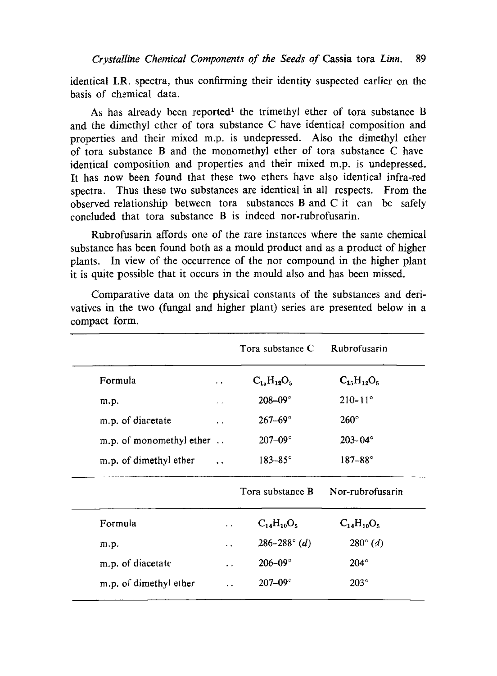identical I.R. spectra, thus confirming their identity suspected earlier on the basis of chemical data.

As has already been reported<sup>1</sup> the trimethyl ether of tora substance B and the dimethyl ether of tora substance C have identical composition and properties and their mixed m.p. is undepressed. Also the dimethyl ether of tora substance B and the monomethyl ether of tora substance C have identical composition and properties and their mixed m.p. is undepressed. It has now been found that these two ethers have also identical infra-red spectra. Thus these two substances are identical in all respects. From the observed relationship between tora substances B and C it can be safely concluded that tora substance Bis indeed nor-rubrofusarin.

Rubrofusarin affords one of the rare instances where the same chemical substance has been found both as a mould product and as a product of higher plants. In view of the occurrence of the nor compound in the higher plant it is quite possible that it occurs in the mould also and has been missed.

|                          |                           | Tora substance C      | Rubrofusarin               |
|--------------------------|---------------------------|-----------------------|----------------------------|
| Formula                  | $\ddot{\phantom{a}}$      | $C_{10}H_{12}O_5$     | $C_{15}H_{12}O_5$          |
| m.p.                     | $\mathbf{z} = \mathbf{z}$ | 208-09 $^{\circ}$     | $210 - 11^{\circ}$         |
| m.p. of diacetate        | . .                       | $267 - 69^{\circ}$    | $260^\circ$                |
| m.p. of monomethyl ether |                           | $207 - 09^{\circ}$    | $203 - 04^{\circ}$         |
| m.p. of dimethyl ether   | $\ddot{\phantom{a}}$      | $183 - 85^{\circ}$    | $187 - 88^{\circ}$         |
|                          |                           | Tora substance B      | Nor-rubrofusarin           |
| Formula                  | . .                       | $C_{14}H_{10}O_5$     | $C_{14}H_{10}O_5$          |
| m.p.                     | $\ddot{\phantom{0}}$      | $286 - 288^\circ (d)$ | $280^{\circ}$ ( <i>d</i> ) |
| m.p. of diacetate        | $\ddot{\phantom{0}}$      | $206 - 09$ °          | $204^\circ$                |
| m.p. of dimethyl ether   |                           | $207 - 09^{\circ}$    | $203^\circ$                |

Comparative data on the physical constants of the substances and derivatives in the two (fungal and higher plant) series are presented below in a compact form.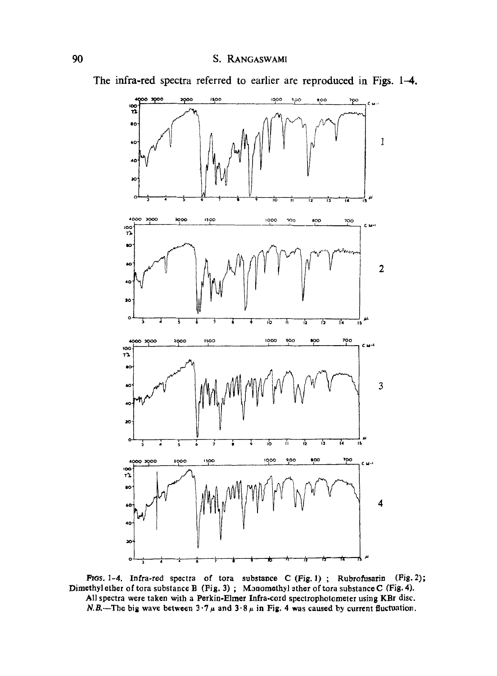

The infra-red spectra referred to earlier are reproduced in Figs. 1-4.

FIGS. 1-4. Infra-red spectra of tora substance C (Fig. 1); Rubrofusarin (Fig. 2); Dimethyl ether of tora substance B (Fig. 3); Monomethyl sther of tora substance C (Fig. 4). All spectra were taken with a Perkin-Elmer Infra-cord spectrophotometer using KBr disc. *N.B.*—The big wave between  $3.7 \mu$  and  $3.8 \mu$  in Fig. 4 was caused by current fluctuation.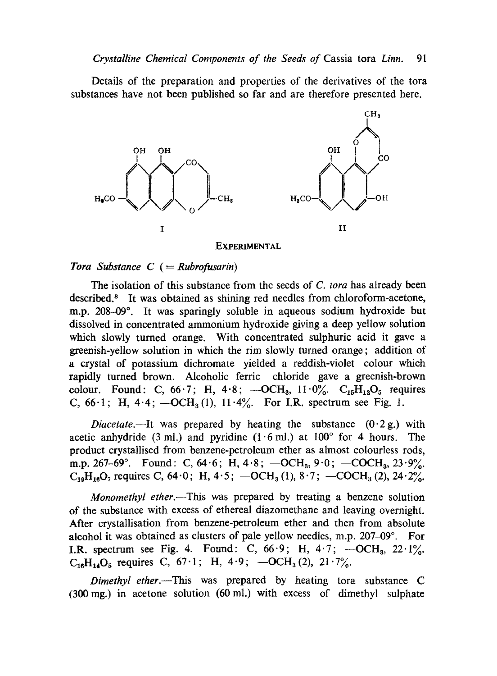Details of the preparation and properties of the derivatives of the tora substances have not been published so far and are therefore presented here.



#### EXPERIMENTAL

### *Tora Substance C (= Rubrofusarin)*

The isolation of this substance from the seeds of *C. tora* has already been described.<sup>8</sup> It was obtained as shining red needles from chloroform-acetone, m.p. 208-09°. It was sparingly soluble in aqueous sodium hydroxide but dissolved in concentrated ammonium hydroxide giving a deep yellow solution which slowly tumed orange. With concentrated sulphuric acid it gave a greenish-yellow solution in which the rim slowly tumed orange; addition of a crystal of potassium dichromate yielded a reddish-violet colour which rapidly turned brown. Alcoholic ferric chloride gave a greenish-brown colour. Found: C,  $66.7$ ; H,  $4.8$ ;  $-OCH_3$ ,  $11.0\%$ .  $C_{15}H_{12}O_5$  requires C,  $66.1$ ; H,  $4.4$ ;  $-OCH_3(1)$ ,  $11.4\%$ . For I.R. spectrum see Fig. 1.

*Diacetate.*--It was prepared by heating the substance  $(0.2 g)$  with acetic anhydride (3 ml.) and pyridine  $(1 \cdot 6 \text{ ml.})$  at  $100^{\circ}$  for 4 hours. The product crystallised from benzene-petroleum ether as almost colourless rods, m.p. 267-69°. Found: C, 64.6; H, 4.8;  $-OCH<sub>3</sub>$ , 9.0;  $-COCH<sub>3</sub>$ , 23.9%.  $C_{19}H_{16}O_7$  requires C, 64.0; H, 4.5;  $-OCH_3(1)$ , 8.7;  $-COCH_3(2)$ , 24.2%.

*Monomethyl ether.*—This was prepared by treating a benzene solution of the substance with excess of ethereal diazomethane and leaving overnight. After crystallisation from benzene-petroleum ether and then from absolute alcohol it was obtained as clusters of pale yellow needles, m.p.  $207-09^\circ$ . For I.R. spectrum see Fig. 4. Found: C,  $66.9$ ; H,  $4.7$ ;  $-OCH<sub>3</sub>$ ,  $22.1\%$ .  $C_{16}H_{14}O_5$  requires C, 67.1; H, 4.9;  $-OCH_3(2)$ , 21.7%.

*Dimethyl ether.*—This was prepared by heating tora substance C (300 mg.) in acetone solution (60 mi.) with excess of dimethyl sulphate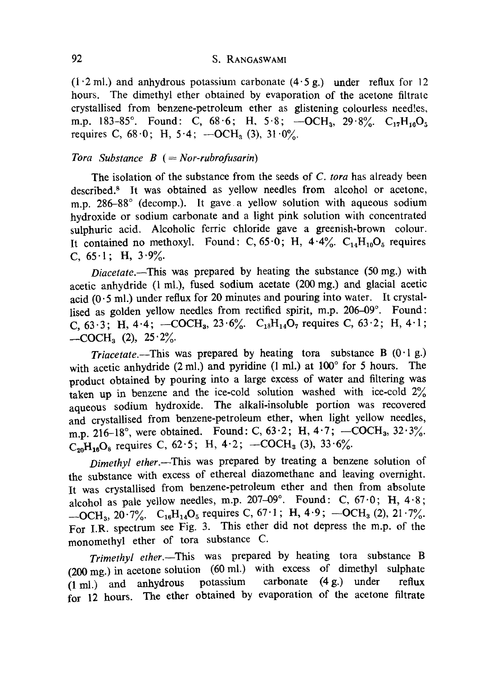## 92 S. RANGASWAMI

 $(1.2 \text{ ml.})$  and anhydrous potassium carbonate  $(4.5 \text{ g.})$  under reflux for 12 hours. The dimethyl ether obtained by evaporation of the acetone filtratc crystallised from benzene-petroleum ether as glistening colourless needles, m.p. 183-85°. Found: C,  $68.6$ ; H,  $5.8$ ;  $-OCH_3$ ,  $29.8\%$ .  $C_{17}H_{16}O_5$ requires C,  $68.0$ ; H,  $5.4$ ;  $-OCH<sub>3</sub>(3)$ ,  $31.0\%$ .

### *Tora Substance B (= Nor-rubrofusarin)*

The isolation of the substance from the seeds of *C. tora* has already been described.<sup>8</sup> It was obtained as yellow needles from alcohol or acetone, m.p. 286-88° (decomp.). It gave a yellow solution with aqueous sodium hydroxide or sodium carbonate anda light pink solution with concentrated sulphuric acid. Alcoholic ferric chloride gave a greenish-brown colour. It contained no methoxyl. Found: C,  $65.0$ ; H,  $4.4\%$ . C<sub>14</sub>H<sub>10</sub>O<sub>5</sub> requires C,  $65 \cdot 1$ ; H,  $3 \cdot 9\%$ .

*Diacetate.* This was prepared by heating the substance (50 mg.) with acetic anhydride (1 mi.), fused sodium acetate (200 mg.) and glacial acetic acid  $(0.5 \text{ ml.})$  under reflux for 20 minutes and pouring into water. It crystallised as golden yellow needles from rectified spirit, m.p. 206-09°. Found: C,  $63.3$ ; H,  $4.4$ ;  $-COCH_3$ ,  $23.6\%$ . C<sub>18</sub>H<sub>14</sub>O<sub>7</sub> requires C,  $63.2$ ; H,  $4.1$ ;  $-COCH<sub>3</sub>$  (2),  $25.2\%$ .

*Triacetate.*---This was prepared by heating tora substance B  $(0.1 g.)$ with acetic anhydride (2 ml.) and pyridine (1 ml.) at  $100^\circ$  for 5 hours. The product obtained by pouring into a large excess of water and filtering was taken up in benzene and the ice-cold solution washed with ice-cold  $2\%$ aqueous sodium hydroxide. The alkali-insoluble portion was recovered and crystallised from benzene-petroleum ether, when light yellow needles, m.p. 216-18°, were obtained. Found: C,  $63.2$ ; H,  $4.7$ ; -COCH<sub>3</sub>,  $32.3\%$ .  $C_{90}H_{16}O_8$  requires C, 62.5; H, 4.2; -COCH<sub>3</sub> (3), 33.6%.

*Dimethyl ether.~This* was prepared by treating a benzene solution of the substance with excess of ethereal diazomethane and leaving overnight. It was crystallised from benzene-petroleum ether and then from absolute alcohol as pale yellow needles, m.p. 207-09°. Found: C,  $67.0$ ; H,  $4.8$ ;  $- OCH_3$ , 20.7%.  $C_{16}H_{14}O_5$  requires C, 67.1; H, 4.9;  $- OCH_3$  (2), 21.7%. For I.R. spectrum see Fig. 3. This ether did not depress the m.p. of the monomethyl ether of tora substance C.

*Trimethyl ether.*--This was prepared by heating tora substance B (200 mg.) in acetone solution (60 mi.) with excess of dimethyl sulphate (1 mi.) and anhydrous potassium carbonate (4 g.) under reflux for 12 hours. The ether obtained by evaporation of the acetone filtrate